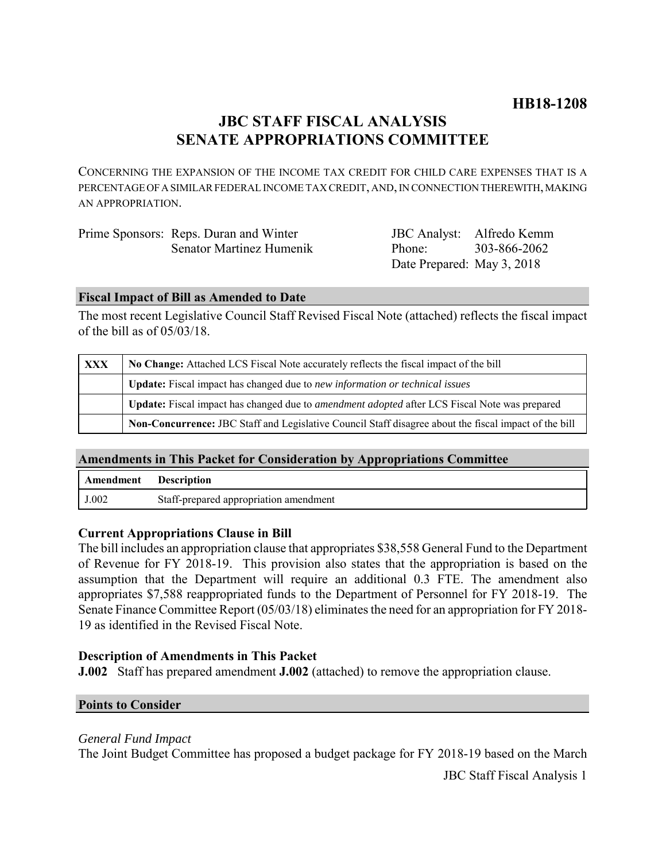# **JBC STAFF FISCAL ANALYSIS SENATE APPROPRIATIONS COMMITTEE**

CONCERNING THE EXPANSION OF THE INCOME TAX CREDIT FOR CHILD CARE EXPENSES THAT IS A PERCENTAGE OF A SIMILAR FEDERAL INCOME TAX CREDIT, AND, IN CONNECTION THEREWITH, MAKING AN APPROPRIATION.

| Prime Sponsors: Reps. Duran and Winter | JBC Analyst: Alfredo Kemm  |              |
|----------------------------------------|----------------------------|--------------|
| Senator Martinez Humenik               | Phone <sup>.</sup>         | 303-866-2062 |
|                                        | Date Prepared: May 3, 2018 |              |

# **Fiscal Impact of Bill as Amended to Date**

The most recent Legislative Council Staff Revised Fiscal Note (attached) reflects the fiscal impact of the bill as of 05/03/18.

| <b>XXX</b> | No Change: Attached LCS Fiscal Note accurately reflects the fiscal impact of the bill                       |  |
|------------|-------------------------------------------------------------------------------------------------------------|--|
|            | Update: Fiscal impact has changed due to new information or technical issues                                |  |
|            | <b>Update:</b> Fiscal impact has changed due to <i>amendment adopted</i> after LCS Fiscal Note was prepared |  |
|            | Non-Concurrence: JBC Staff and Legislative Council Staff disagree about the fiscal impact of the bill       |  |

# **Amendments in This Packet for Consideration by Appropriations Committee**

| Amendment | <b>Description</b>                     |
|-----------|----------------------------------------|
| J.002     | Staff-prepared appropriation amendment |

### **Current Appropriations Clause in Bill**

The bill includes an appropriation clause that appropriates \$38,558 General Fund to the Department of Revenue for FY 2018-19. This provision also states that the appropriation is based on the assumption that the Department will require an additional 0.3 FTE. The amendment also appropriates \$7,588 reappropriated funds to the Department of Personnel for FY 2018-19. The Senate Finance Committee Report (05/03/18) eliminates the need for an appropriation for FY 2018- 19 as identified in the Revised Fiscal Note.

## **Description of Amendments in This Packet**

**J.002** Staff has prepared amendment **J.002** (attached) to remove the appropriation clause.

### **Points to Consider**

### *General Fund Impact*

The Joint Budget Committee has proposed a budget package for FY 2018-19 based on the March